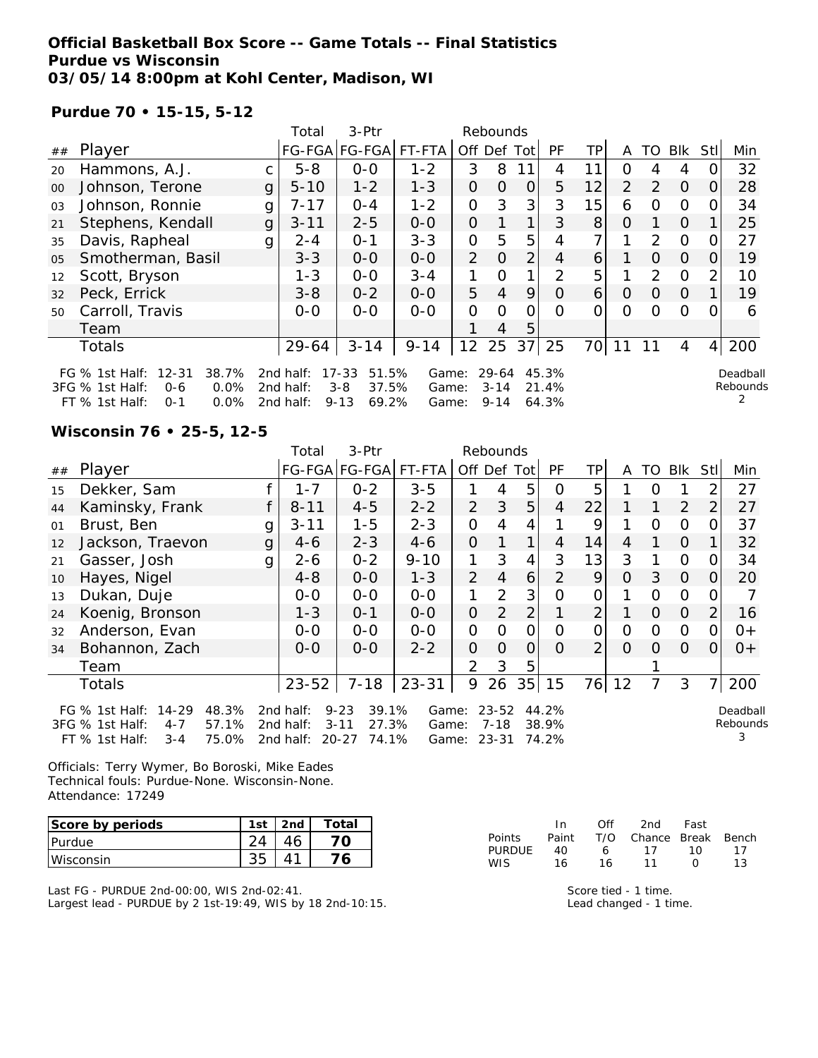### **Official Basketball Box Score -- Game Totals -- Final Statistics Purdue vs Wisconsin 03/05/14 8:00pm at Kohl Center, Madison, WI**

### **Purdue 70 • 15-15, 5-12**

|    |                                                                     |              | Total                  | 3-Ptr                                  |                |                | Rebounds          |                |                |                |                |               |                |          |                      |
|----|---------------------------------------------------------------------|--------------|------------------------|----------------------------------------|----------------|----------------|-------------------|----------------|----------------|----------------|----------------|---------------|----------------|----------|----------------------|
| ## | Player                                                              |              |                        | FG-FGA FG-FGA                          | FT-FTA         | Off            | Def               | Tot            | PF             | TP.            | A              | TO            | Blk            | Stl      | Min                  |
| 20 | Hammons, A.J.                                                       | C            | $5 - 8$                | $0-0$                                  | $1 - 2$        | 3              | 8                 | 11             | 4              | 11             | 0              | 4             | 4              |          | 32                   |
| 00 | Johnson, Terone                                                     | $\mathbf{g}$ | $5 - 10$               | $1 - 2$                                | $1 - 3$        | 0              | 0                 | 0              | 5              | 12             | $\overline{2}$ | $\mathcal{P}$ | $\overline{0}$ | 0        | 28                   |
| 03 | Johnson, Ronnie                                                     | g            | $7 - 17$               | $0 - 4$                                | $1 - 2$        | 0              | 3                 | 3              | 3              | 15             | 6              | 0             | $\Omega$       | O        | 34                   |
| 21 | Stephens, Kendall                                                   | $\mathbf{g}$ | $3 - 11$               | $2 - 5$                                | $0 - 0$        | 0              |                   | 1              | 3              | 8              | 0              |               | $\Omega$       |          | 25                   |
| 35 | Davis, Rapheal                                                      | g            | $2 - 4$                | $O - 1$                                | $3 - 3$        | 0              | 5                 | 5              | 4              | 7 <sub>1</sub> |                | $\mathcal{P}$ | $\Omega$       | $\Omega$ | 27                   |
| 05 | Smotherman, Basil                                                   |              | $3 - 3$                | $0 - 0$                                | $0-0$          | $\overline{2}$ | $\Omega$          | 2 <sub>1</sub> | 4              | 6              |                | $\Omega$      | $\Omega$       | $\Omega$ | 19                   |
| 12 | Scott, Bryson                                                       |              | $1 - 3$                | $0-0$                                  | $3 - 4$        | 1.             | Ω                 | 1              | 2              | 5              |                | 2             | $\Omega$       |          | 10                   |
| 32 | Peck, Errick                                                        |              | $3 - 8$                | $0 - 2$                                | $0 - 0$        | 5              | $\overline{4}$    | 9              | $\Omega$       | 6              | 0              | $\Omega$      | $\Omega$       |          | 19                   |
| 50 | Carroll, Travis                                                     |              | $0-0$                  | $0 - 0$                                | $0 - 0$        | 0              | $\Omega$          | Ω              | $\Omega$       | 0              | $\Omega$       | O             | 0              |          | 6                    |
|    | Team                                                                |              |                        |                                        |                |                | 4                 | 5              |                |                |                |               |                |          |                      |
|    | <b>Totals</b>                                                       |              | 29-64                  | $3 - 14$                               | $9 - 14$       | 12             | 25                | 37             | 25             | 70             | 11             | 11            | 4              | 4        | 200                  |
|    | FG % 1st Half: 12-31<br>38.7%<br>3FG % 1st Half:<br>0.0%<br>$0 - 6$ |              | 2nd half:<br>2nd half: | $17 - 33$<br>51.5%<br>37.5%<br>$3 - 8$ | Game:<br>Game: |                | 29-64<br>$3 - 14$ |                | 45.3%<br>21.4% |                |                |               |                |          | Deadball<br>Rebounds |
|    | FT % 1st Half:<br>$0.0\%$<br>$0 - 1$                                |              | 2nd half:              | $9 - 13$<br>69.2%                      | Game:          |                | $9 - 14$          |                | 64.3%          |                |                |               |                |          |                      |

#### **Wisconsin 76 • 25-5, 12-5**

|    |                                                                                                                   |   | Total                               | 3-Ptr                                                        |                         |                | Rebounds                   |                |                         |                |          |              |                |                |                           |
|----|-------------------------------------------------------------------------------------------------------------------|---|-------------------------------------|--------------------------------------------------------------|-------------------------|----------------|----------------------------|----------------|-------------------------|----------------|----------|--------------|----------------|----------------|---------------------------|
| ## | Player                                                                                                            |   |                                     | FG-FGA FG-FGA FT-FTA                                         |                         | Off Def Tot    |                            |                | <b>PF</b>               | ТP             | A        | TO.          | Blk            | <b>Stll</b>    | Min                       |
| 15 | Dekker, Sam                                                                                                       |   | $1 - 7$                             | $0 - 2$                                                      | $3 - 5$                 |                | 4                          | 5              | $\Omega$                | 5              |          |              |                | 2              | 27                        |
| 44 | Kaminsky, Frank                                                                                                   |   | $8 - 11$                            | $4 - 5$                                                      | $2 - 2$                 | $\overline{2}$ | 3                          | 5              | 4                       | 22             |          | $\mathbf{1}$ | 2              | 2              | 27                        |
| 01 | Brust, Ben                                                                                                        | g | $3 - 11$                            | $1 - 5$                                                      | $2 - 3$                 | $\Omega$       | 4                          | 4              |                         | 9              |          | $\Omega$     | $\mathbf 0$    | 0              | 37                        |
| 12 | Jackson, Traevon                                                                                                  | g | $4 - 6$                             | $2 - 3$                                                      | $4 - 6$                 | $\Omega$       |                            |                | 4                       | 14             | 4        |              | $\overline{O}$ | 1.             | 32                        |
| 21 | Gasser, Josh                                                                                                      | g | $2 - 6$                             | $0 - 2$                                                      | $9 - 10$                | $\mathbf{1}$   | 3                          | $\overline{4}$ | 3                       | 13             | 3        |              | $\Omega$       | 0              | 34                        |
| 10 | Hayes, Nigel                                                                                                      |   | $4 - 8$                             | $0 - 0$                                                      | $1 - 3$                 | 2              | 4                          | 6              | 2                       | 9              | $\Omega$ | 3            | $\Omega$       | $\Omega$       | 20                        |
| 13 | Dukan, Duje                                                                                                       |   | $0-0$                               | $0 - 0$                                                      | $0-0$                   | $\mathbf{1}$   | 2                          | 3              | $\Omega$                | $\Omega$       | 1        | $\Omega$     | $\Omega$       | 0              |                           |
| 24 | Koenig, Bronson                                                                                                   |   | $1 - 3$                             | $0 - 1$                                                      | $0 - 0$                 | $\mathbf{O}$   | 2                          | 2              |                         | $\overline{2}$ |          | $\Omega$     | $\Omega$       | 2              | 16                        |
| 32 | Anderson, Evan                                                                                                    |   | $0-0$                               | $0 - 0$                                                      | $0 - 0$                 | 0              | 0                          | $\overline{0}$ | $\Omega$                | O              | 0        | 0            | $\Omega$       | 0              | $0+$                      |
| 34 | Bohannon, Zach                                                                                                    |   | $0 - 0$                             | $O-O$                                                        | $2 - 2$                 | $\Omega$       | 0                          | $\Omega$       | $\Omega$                | $\overline{2}$ | $\Omega$ | $\Omega$     | $\overline{0}$ | $\overline{O}$ | $0+$                      |
|    | Team                                                                                                              |   |                                     |                                                              |                         | $\mathcal{P}$  | 3                          | 5              |                         |                |          |              |                |                |                           |
|    | <b>Totals</b>                                                                                                     |   | $23 - 52$                           | $7 - 18$                                                     | $23 - 31$               | 9              | 26                         | 35             | 15                      | 76             | 12       |              | 3              | 7 <sup>1</sup> | 200                       |
|    | $14 - 29$<br>48.3%<br>FG % 1st Half:<br>3FG % 1st Half:<br>57.1%<br>$4 - 7$<br>75.0%<br>FT % 1st Half:<br>$3 - 4$ |   | 2nd half:<br>2nd half:<br>2nd half: | $9 - 23$<br>39.1%<br>27.3%<br>$3 - 11$<br>$20 - 27$<br>74.1% | Game:<br>Game:<br>Game: |                | $23 - 52$<br>7-18<br>23-31 |                | 44.2%<br>38.9%<br>74.2% |                |          |              |                |                | Deadball<br>Rebounds<br>3 |

Officials: Terry Wymer, Bo Boroski, Mike Eades Technical fouls: Purdue-None. Wisconsin-None. Attendance: 17249

| Score by periods | 1st | 2nd | Total |
|------------------|-----|-----|-------|
| <b>IPurdue</b>   |     |     |       |
| Wisconsin        |     |     | '6    |

Last FG - PURDUE 2nd-00:00, WIS 2nd-02:41. Largest lead - PURDUE by 2 1st-19:49, WIS by 18 2nd-10:15.

|               | In.   | Off | 2nd                    | Fast |    |
|---------------|-------|-----|------------------------|------|----|
| <b>Points</b> | Paint |     | T/O Chance Break Bench |      |    |
| <b>PURDUE</b> | 40.   | 6   | -17                    | 10   | 17 |
| WIS.          | 16.   | 16. | 11                     | n    | 13 |

Score tied - 1 time. Lead changed - 1 time.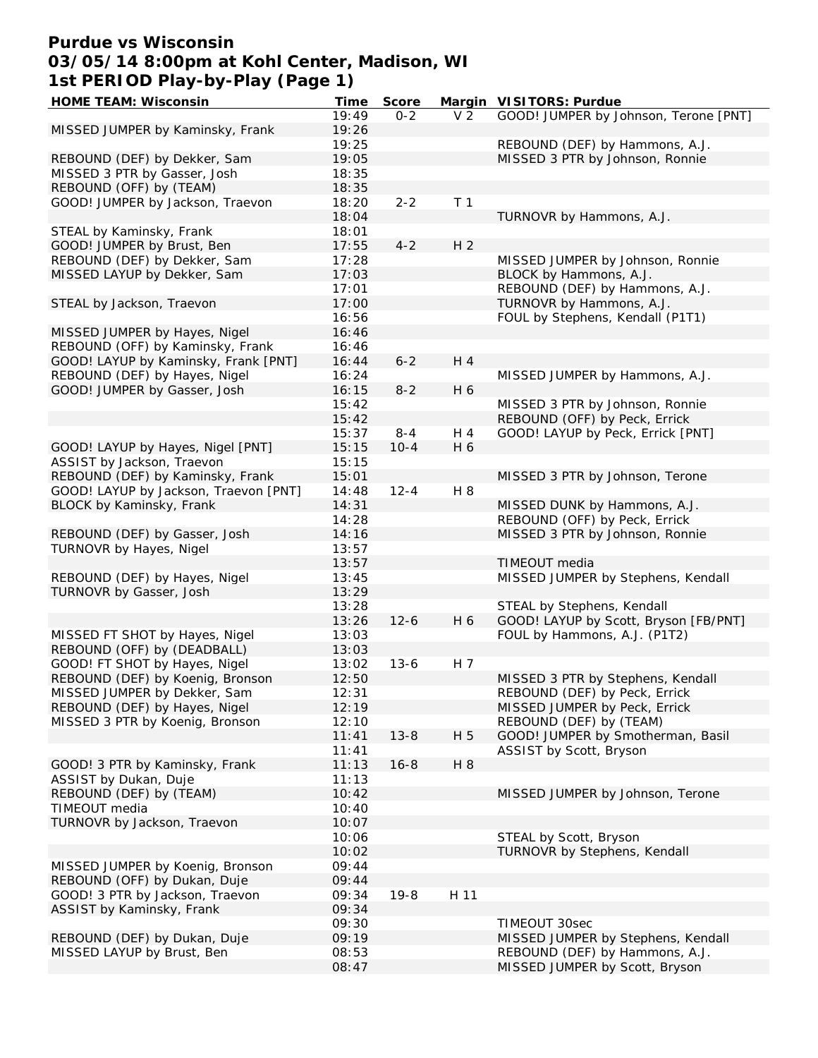# **Purdue vs Wisconsin 03/05/14 8:00pm at Kohl Center, Madison, WI 1st PERIOD Play-by-Play (Page 1)**

| <b>HOME TEAM: Wisconsin</b>           | Time  | <b>Score</b> |                | Margin VISITORS: Purdue               |
|---------------------------------------|-------|--------------|----------------|---------------------------------------|
|                                       | 19:49 | $0 - 2$      | V <sub>2</sub> | GOOD! JUMPER by Johnson, Terone [PNT] |
| MISSED JUMPER by Kaminsky, Frank      | 19:26 |              |                |                                       |
|                                       | 19:25 |              |                | REBOUND (DEF) by Hammons, A.J.        |
|                                       |       |              |                |                                       |
| REBOUND (DEF) by Dekker, Sam          | 19:05 |              |                | MISSED 3 PTR by Johnson, Ronnie       |
| MISSED 3 PTR by Gasser, Josh          | 18:35 |              |                |                                       |
| REBOUND (OFF) by (TEAM)               | 18:35 |              |                |                                       |
| GOOD! JUMPER by Jackson, Traevon      | 18:20 | $2 - 2$      | T <sub>1</sub> |                                       |
|                                       | 18:04 |              |                | TURNOVR by Hammons, A.J.              |
| STEAL by Kaminsky, Frank              | 18:01 |              |                |                                       |
| GOOD! JUMPER by Brust, Ben            | 17:55 | $4 - 2$      | H <sub>2</sub> |                                       |
| REBOUND (DEF) by Dekker, Sam          | 17:28 |              |                | MISSED JUMPER by Johnson, Ronnie      |
|                                       |       |              |                |                                       |
| MISSED LAYUP by Dekker, Sam           | 17:03 |              |                | BLOCK by Hammons, A.J.                |
|                                       | 17:01 |              |                | REBOUND (DEF) by Hammons, A.J.        |
| STEAL by Jackson, Traevon             | 17:00 |              |                | TURNOVR by Hammons, A.J.              |
|                                       | 16:56 |              |                | FOUL by Stephens, Kendall (P1T1)      |
| MISSED JUMPER by Hayes, Nigel         | 16:46 |              |                |                                       |
| REBOUND (OFF) by Kaminsky, Frank      | 16:46 |              |                |                                       |
| GOOD! LAYUP by Kaminsky, Frank [PNT]  | 16:44 | $6 - 2$      | H 4            |                                       |
| REBOUND (DEF) by Hayes, Nigel         | 16:24 |              |                | MISSED JUMPER by Hammons, A.J.        |
|                                       |       |              |                |                                       |
| GOOD! JUMPER by Gasser, Josh          | 16:15 | $8 - 2$      | H 6            |                                       |
|                                       | 15:42 |              |                | MISSED 3 PTR by Johnson, Ronnie       |
|                                       | 15:42 |              |                | REBOUND (OFF) by Peck, Errick         |
|                                       | 15:37 | $8 - 4$      | H 4            | GOOD! LAYUP by Peck, Errick [PNT]     |
| GOOD! LAYUP by Hayes, Nigel [PNT]     | 15:15 | $10 - 4$     | H 6            |                                       |
| ASSIST by Jackson, Traevon            | 15:15 |              |                |                                       |
| REBOUND (DEF) by Kaminsky, Frank      | 15:01 |              |                | MISSED 3 PTR by Johnson, Terone       |
|                                       |       |              |                |                                       |
| GOOD! LAYUP by Jackson, Traevon [PNT] | 14:48 | $12 - 4$     | H 8            |                                       |
| BLOCK by Kaminsky, Frank              | 14:31 |              |                | MISSED DUNK by Hammons, A.J.          |
|                                       | 14:28 |              |                | REBOUND (OFF) by Peck, Errick         |
| REBOUND (DEF) by Gasser, Josh         | 14:16 |              |                | MISSED 3 PTR by Johnson, Ronnie       |
| TURNOVR by Hayes, Nigel               | 13:57 |              |                |                                       |
|                                       | 13:57 |              |                | TIMEOUT media                         |
| REBOUND (DEF) by Hayes, Nigel         | 13:45 |              |                | MISSED JUMPER by Stephens, Kendall    |
| TURNOVR by Gasser, Josh               | 13:29 |              |                |                                       |
|                                       |       |              |                |                                       |
|                                       | 13:28 |              |                | STEAL by Stephens, Kendall            |
|                                       | 13:26 | $12 - 6$     | H 6            | GOOD! LAYUP by Scott, Bryson [FB/PNT] |
| MISSED FT SHOT by Hayes, Nigel        | 13:03 |              |                | FOUL by Hammons, A.J. (P1T2)          |
| REBOUND (OFF) by (DEADBALL)           | 13:03 |              |                |                                       |
| GOOD! FT SHOT by Hayes, Nigel         | 13:02 | $13 - 6$     | H 7            |                                       |
| REBOUND (DEF) by Koenig, Bronson      | 12:50 |              |                | MISSED 3 PTR by Stephens, Kendall     |
| MISSED JUMPER by Dekker, Sam          | 12:31 |              |                | REBOUND (DEF) by Peck, Errick         |
| REBOUND (DEF) by Hayes, Nigel         | 12:19 |              |                | MISSED JUMPER by Peck, Errick         |
|                                       |       |              |                |                                       |
| MISSED 3 PTR by Koenig, Bronson       | 12:10 |              |                | REBOUND (DEF) by (TEAM)               |
|                                       | 11:41 | $13 - 8$     | H 5            | GOOD! JUMPER by Smotherman, Basil     |
|                                       | 11:41 |              |                | ASSIST by Scott, Bryson               |
| GOOD! 3 PTR by Kaminsky, Frank        | 11:13 | $16 - 8$     | H 8            |                                       |
| ASSIST by Dukan, Duje                 | 11:13 |              |                |                                       |
| REBOUND (DEF) by (TEAM)               | 10:42 |              |                | MISSED JUMPER by Johnson, Terone      |
| TIMEOUT media                         | 10:40 |              |                |                                       |
| TURNOVR by Jackson, Traevon           | 10:07 |              |                |                                       |
|                                       |       |              |                |                                       |
|                                       | 10:06 |              |                | STEAL by Scott, Bryson                |
|                                       | 10:02 |              |                | TURNOVR by Stephens, Kendall          |
| MISSED JUMPER by Koenig, Bronson      | 09:44 |              |                |                                       |
| REBOUND (OFF) by Dukan, Duje          | 09:44 |              |                |                                       |
| GOOD! 3 PTR by Jackson, Traevon       | 09:34 | $19 - 8$     | H 11           |                                       |
| ASSIST by Kaminsky, Frank             | 09:34 |              |                |                                       |
|                                       | 09:30 |              |                | TIMEOUT 30sec                         |
| REBOUND (DEF) by Dukan, Duje          | 09:19 |              |                | MISSED JUMPER by Stephens, Kendall    |
|                                       | 08:53 |              |                |                                       |
| MISSED LAYUP by Brust, Ben            |       |              |                | REBOUND (DEF) by Hammons, A.J.        |
|                                       | 08:47 |              |                | MISSED JUMPER by Scott, Bryson        |
|                                       |       |              |                |                                       |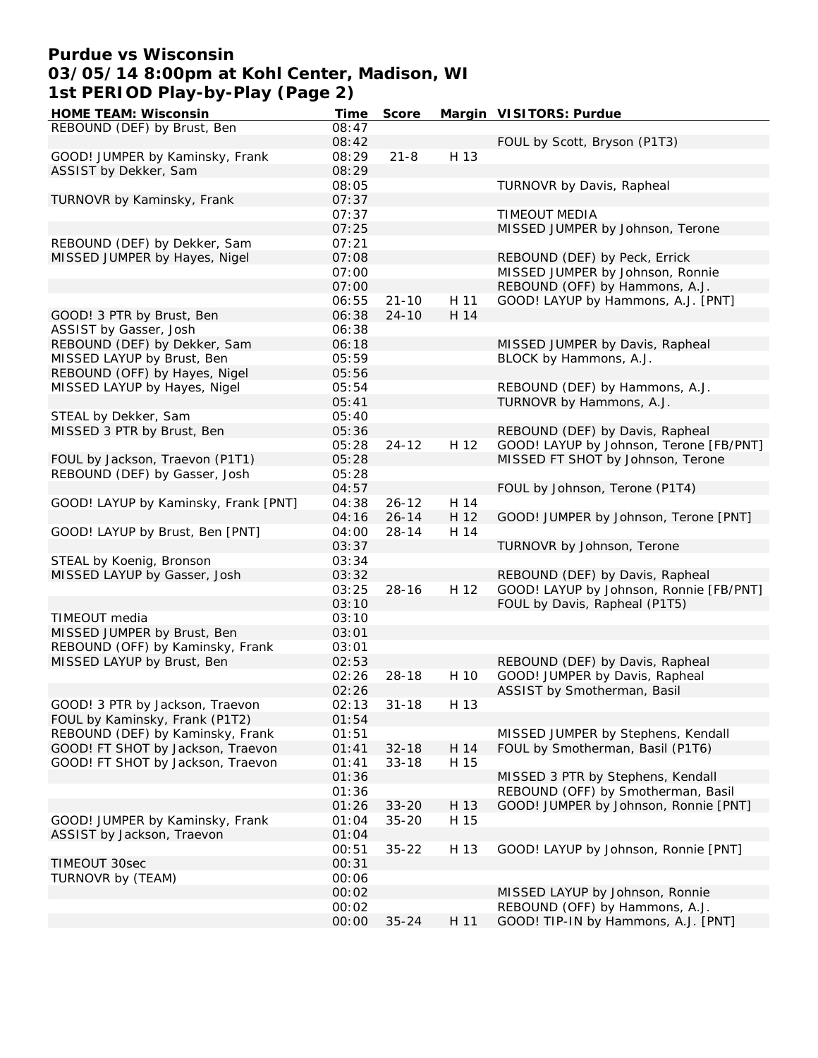## **Purdue vs Wisconsin 03/05/14 8:00pm at Kohl Center, Madison, WI 1st PERIOD Play-by-Play (Page 2)**

| <b>HOME TEAM: Wisconsin</b>          | Time  | <b>Score</b> |      | Margin VISITORS: Purdue                 |
|--------------------------------------|-------|--------------|------|-----------------------------------------|
| REBOUND (DEF) by Brust, Ben          | 08:47 |              |      |                                         |
|                                      | 08:42 |              |      | FOUL by Scott, Bryson (P1T3)            |
| GOOD! JUMPER by Kaminsky, Frank      | 08:29 | $21 - 8$     | H 13 |                                         |
| ASSIST by Dekker, Sam                | 08:29 |              |      |                                         |
|                                      | 08:05 |              |      | TURNOVR by Davis, Rapheal               |
| TURNOVR by Kaminsky, Frank           | 07:37 |              |      |                                         |
|                                      | 07:37 |              |      | <b>TIMEOUT MEDIA</b>                    |
|                                      | 07:25 |              |      | MISSED JUMPER by Johnson, Terone        |
| REBOUND (DEF) by Dekker, Sam         | 07:21 |              |      |                                         |
| MISSED JUMPER by Hayes, Nigel        | 07:08 |              |      | REBOUND (DEF) by Peck, Errick           |
|                                      | 07:00 |              |      | MISSED JUMPER by Johnson, Ronnie        |
|                                      | 07:00 |              |      | REBOUND (OFF) by Hammons, A.J.          |
|                                      | 06:55 | $21 - 10$    | H 11 | GOOD! LAYUP by Hammons, A.J. [PNT]      |
| GOOD! 3 PTR by Brust, Ben            | 06:38 | $24 - 10$    | H 14 |                                         |
| ASSIST by Gasser, Josh               | 06:38 |              |      |                                         |
| REBOUND (DEF) by Dekker, Sam         | 06:18 |              |      | MISSED JUMPER by Davis, Rapheal         |
| MISSED LAYUP by Brust, Ben           | 05:59 |              |      | BLOCK by Hammons, A.J.                  |
| REBOUND (OFF) by Hayes, Nigel        | 05:56 |              |      |                                         |
| MISSED LAYUP by Hayes, Nigel         | 05:54 |              |      | REBOUND (DEF) by Hammons, A.J.          |
|                                      | 05:41 |              |      |                                         |
|                                      |       |              |      | TURNOVR by Hammons, A.J.                |
| STEAL by Dekker, Sam                 | 05:40 |              |      |                                         |
| MISSED 3 PTR by Brust, Ben           | 05:36 |              |      | REBOUND (DEF) by Davis, Rapheal         |
|                                      | 05:28 | $24 - 12$    | H 12 | GOOD! LAYUP by Johnson, Terone [FB/PNT] |
| FOUL by Jackson, Traevon (P1T1)      | 05:28 |              |      | MISSED FT SHOT by Johnson, Terone       |
| REBOUND (DEF) by Gasser, Josh        | 05:28 |              |      |                                         |
|                                      | 04:57 |              |      | FOUL by Johnson, Terone (P1T4)          |
| GOOD! LAYUP by Kaminsky, Frank [PNT] | 04:38 | $26 - 12$    | H 14 |                                         |
|                                      | 04:16 | $26 - 14$    | H 12 | GOOD! JUMPER by Johnson, Terone [PNT]   |
| GOOD! LAYUP by Brust, Ben [PNT]      | 04:00 | $28 - 14$    | H 14 |                                         |
|                                      | 03:37 |              |      | TURNOVR by Johnson, Terone              |
| STEAL by Koenig, Bronson             | 03:34 |              |      |                                         |
| MISSED LAYUP by Gasser, Josh         | 03:32 |              |      | REBOUND (DEF) by Davis, Rapheal         |
|                                      | 03:25 | $28 - 16$    | H 12 | GOOD! LAYUP by Johnson, Ronnie [FB/PNT] |
|                                      | 03:10 |              |      | FOUL by Davis, Rapheal (P1T5)           |
| TIMEOUT media                        | 03:10 |              |      |                                         |
| MISSED JUMPER by Brust, Ben          | 03:01 |              |      |                                         |
| REBOUND (OFF) by Kaminsky, Frank     | 03:01 |              |      |                                         |
| MISSED LAYUP by Brust, Ben           | 02:53 |              |      | REBOUND (DEF) by Davis, Rapheal         |
|                                      | 02:26 | $28 - 18$    | H 10 | GOOD! JUMPER by Davis, Rapheal          |
|                                      | 02:26 |              |      | ASSIST by Smotherman, Basil             |
| GOOD! 3 PTR by Jackson, Traevon      | 02:13 | $31 - 18$    | H 13 |                                         |
| FOUL by Kaminsky, Frank (P1T2)       | 01:54 |              |      |                                         |
| REBOUND (DEF) by Kaminsky, Frank     | 01:51 |              |      | MISSED JUMPER by Stephens, Kendall      |
| GOOD! FT SHOT by Jackson, Traevon    | 01:41 | $32 - 18$    | H 14 | FOUL by Smotherman, Basil (P1T6)        |
| GOOD! FT SHOT by Jackson, Traevon    | 01:41 | $33 - 18$    | H 15 |                                         |
|                                      | 01:36 |              |      | MISSED 3 PTR by Stephens, Kendall       |
|                                      | 01:36 |              |      | REBOUND (OFF) by Smotherman, Basil      |
|                                      | 01:26 | $33 - 20$    | H 13 | GOOD! JUMPER by Johnson, Ronnie [PNT]   |
| GOOD! JUMPER by Kaminsky, Frank      | 01:04 | $35 - 20$    | H 15 |                                         |
| ASSIST by Jackson, Traevon           | 01:04 |              |      |                                         |
|                                      | 00:51 | $35 - 22$    | H 13 | GOOD! LAYUP by Johnson, Ronnie [PNT]    |
| TIMEOUT 30sec                        | 00:31 |              |      |                                         |
| TURNOVR by (TEAM)                    | 00:06 |              |      |                                         |
|                                      | 00:02 |              |      | MISSED LAYUP by Johnson, Ronnie         |
|                                      | 00:02 |              |      | REBOUND (OFF) by Hammons, A.J.          |
|                                      | 00:00 | $35 - 24$    | H 11 | GOOD! TIP-IN by Hammons, A.J. [PNT]     |
|                                      |       |              |      |                                         |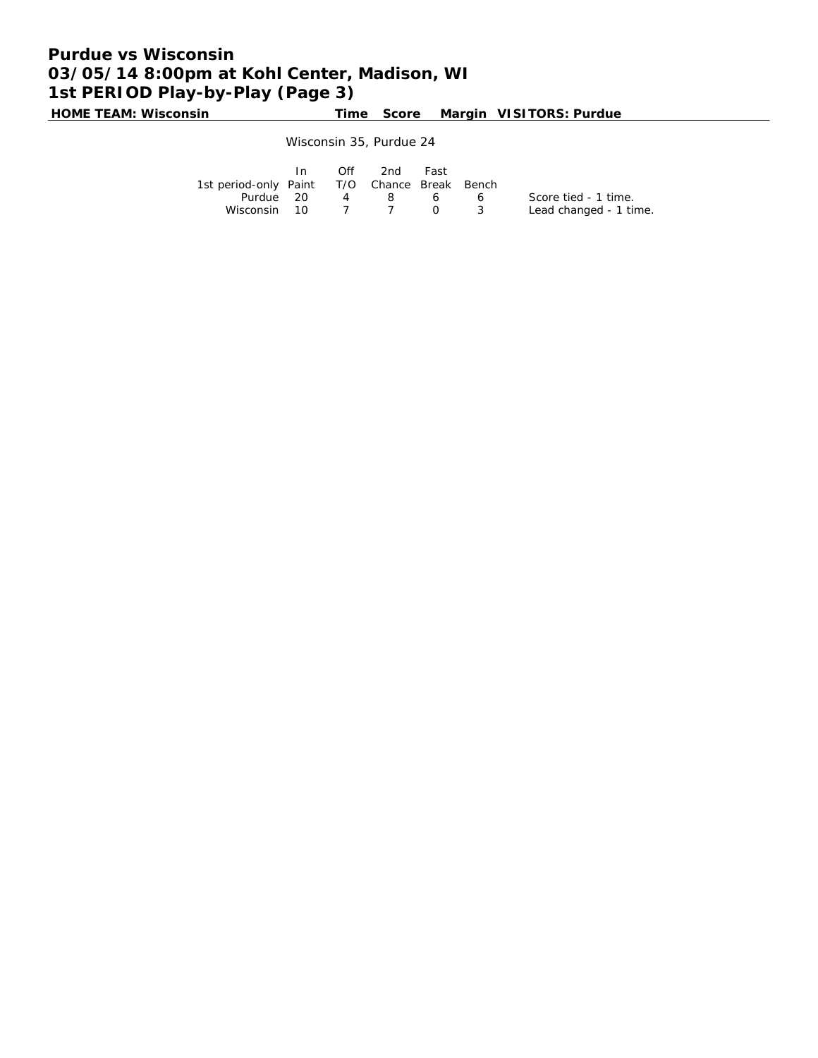# **Purdue vs Wisconsin 03/05/14 8:00pm at Kohl Center, Madison, WI 1st PERIOD Play-by-Play (Page 3)**

**HOME TEAM: Wisconsin Time Score Margin VISITORS: Purdue**

Wisconsin 35, Purdue 24

|                                              | In In | $\bigcap$ ff | 2nd | Fast           |                        |
|----------------------------------------------|-------|--------------|-----|----------------|------------------------|
| 1st period-only Paint T/O Chance Break Bench |       |              |     |                |                        |
| Purdue 20                                    |       |              | 48  | 66             | Score tied - 1 time.   |
| Wisconsin 10                                 |       |              |     | $\overline{O}$ | Lead changed - 1 time. |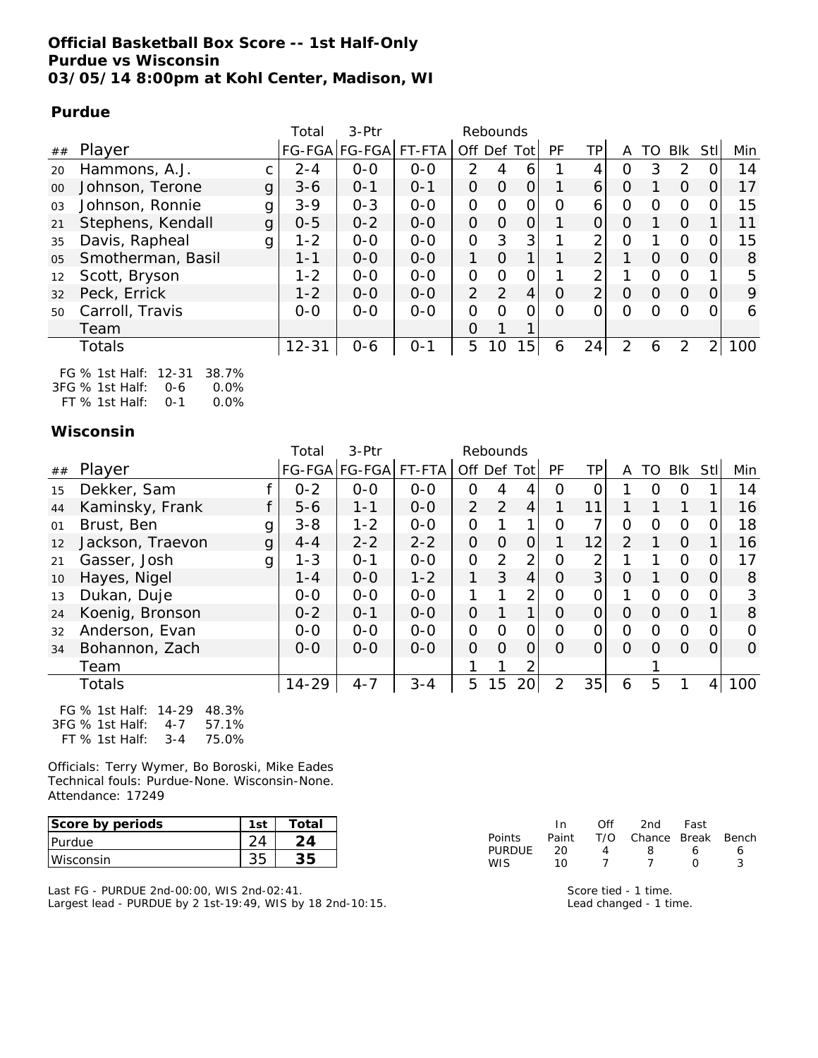### **Official Basketball Box Score -- 1st Half-Only Purdue vs Wisconsin 03/05/14 8:00pm at Kohl Center, Madison, WI**

### **Purdue**

|    |                        | Total     | $3-$ Ptr             |         |          | Rebounds |                 |           |                |          |          |          |                |     |
|----|------------------------|-----------|----------------------|---------|----------|----------|-----------------|-----------|----------------|----------|----------|----------|----------------|-----|
| ## | Player                 |           | FG-FGA FG-FGA FT-FTA |         |          |          | Off Def Tot     | <b>PF</b> | TP             | A        | TO I     | Blk      | -StI           | Min |
| 20 | Hammons, A.J.          | $2 - 4$   | $O - O$              | $O - O$ | 2        | 4        | 6               |           | 4              | O        | 3        | 2        | 0              | 14  |
| 00 | Johnson, Terone<br>g   | $3 - 6$   | $O - 1$              | $O - 1$ | $\Omega$ | O        | 0               | 1         | 6              | O        |          | 0        | 0              | 17  |
| 03 | Johnson, Ronnie<br>g   | $3 - 9$   | $O - 3$              | $0 - 0$ | 0        | $\Omega$ | 0               | $\Omega$  | 6              | 0        | $\Omega$ | $\Omega$ | 0              | 15  |
| 21 | Stephens, Kendall<br>g | $0 - 5$   | $0 - 2$              | $0 - 0$ | $\Omega$ | $\Omega$ | 0               | 1         | 0              | $\Omega$ |          | $\Omega$ |                | 11  |
| 35 | Davis, Rapheal<br>g    | $1 - 2$   | $0 - 0$              | $O - O$ | 0        | 3        | 3               | 1         | 2              | $\Omega$ |          | $\Omega$ | 0              | 15  |
| 05 | Smotherman, Basil      | $1 - 1$   | $0 - 0$              | $0 - 0$ | 1        | $\Omega$ | 1               |           | $\overline{2}$ |          | $\Omega$ | $\Omega$ | $\Omega$       | 8   |
| 12 | Scott, Bryson          | $1 - 2$   | $0 - 0$              | $0 - 0$ | 0        | $\Omega$ | 0               |           | 2              |          | O        | $\Omega$ |                | 5   |
| 32 | Peck, Errick           | $1 - 2$   | $0 - 0$              | $0 - 0$ | 2        | 2        | 4               | $\Omega$  | $\overline{2}$ | $\Omega$ | 0        | $\Omega$ | $\Omega$       | 9   |
| 50 | Carroll, Travis        | $0 - 0$   | $O-O$                | $0-0$   | $\Omega$ | $\Omega$ | Ω               | Ω         |                | $\Omega$ | $\Omega$ | $\Omega$ | 0              | 6   |
|    | Team                   |           |                      |         | O        | 1        | 1               |           |                |          |          |          |                |     |
|    | Totals                 | $12 - 31$ | $0 - 6$              | $0 - 1$ | 5        | 10       | 15 <sub>1</sub> | 6         | 24             | 2        | 6        | 2        | $\overline{2}$ | 100 |
|    |                        |           |                      |         |          |          |                 |           |                |          |          |          |                |     |

| FG % 1st Half: 12-31 38.7% |      |
|----------------------------|------|
| $3FG\%$ 1st Half: 0-6      | 0.0% |
| FT % 1st Half: $0-1$       | 0.0% |

### **Wisconsin**

|    |                       | Total     | 3-Ptr         |         |          | Rebounds |                 |                |              |               |          |          |              |          |
|----|-----------------------|-----------|---------------|---------|----------|----------|-----------------|----------------|--------------|---------------|----------|----------|--------------|----------|
| ## | Player                |           | FG-FGA FG-FGA | FT-FTA  |          |          | Off Def Tot     | <b>PF</b>      | TP           | A             | TO.      | Blk      | Stl          | Min      |
| 15 | Dekker, Sam           | $0 - 2$   | $0-0$         | $0-0$   | $\Omega$ | 4        | 4               | $\Omega$       | 0            |               | $\Omega$ | $\Omega$ |              | 14       |
| 44 | Kaminsky, Frank       | $5 - 6$   | $1 - 1$       | $0-0$   | 2        | 2        | 4               | 1              | 11           |               |          |          |              | 16       |
| 01 | Brust, Ben<br>g       | $3 - 8$   | $1 - 2$       | $O-O$   | 0        | 1        | 1               | O              | 7            | $\Omega$      | $\Omega$ | $\Omega$ | 0            | 18       |
| 12 | Jackson, Traevon<br>g | $4 - 4$   | $2 - 2$       | $2 - 2$ | O        | $\Omega$ | 0               | 1              | 12           | $\mathcal{P}$ |          | $\Omega$ |              | 16       |
| 21 | Gasser, Josh<br>g     | $1 - 3$   | $O - 1$       | $0-0$   | $\Omega$ | 2        | $\overline{2}$  | $\Omega$       | 2            |               |          | $\Omega$ | 0            | 17       |
| 10 | Hayes, Nigel          | $1 - 4$   | $0 - 0$       | $1 - 2$ | 1        | 3        | 4               | $\Omega$       | 3            | $\Omega$      |          | $\Omega$ | $\mathbf{O}$ | 8        |
| 13 | Dukan, Duje           | $0-0$     | $0-0$         | $0-0$   | 1        | 1        | 2               | $\Omega$       | 0            | 1             | $\Omega$ | $\Omega$ | $\Omega$     | 3        |
| 24 | Koenig, Bronson       | $0 - 2$   | $O - 1$       | $0-0$   | $\Omega$ | 1        | 1               | $\Omega$       | $\mathbf{O}$ | $\Omega$      | $\Omega$ | $\Omega$ |              | 8        |
| 32 | Anderson, Evan        | $0 - 0$   | $0-0$         | $0-0$   | $\Omega$ | $\Omega$ | O               | 0              | 0            | $\Omega$      | $\Omega$ | $\Omega$ | 0            | $\Omega$ |
| 34 | Bohannon, Zach        | $0 - 0$   | $O-O$         | $0-0$   | $\Omega$ | $\Omega$ | 0               | $\Omega$       | 0            | $\Omega$      | $\Omega$ | $\Omega$ | $\Omega$     | $\Omega$ |
|    | Team                  |           |               |         | 1        | 1        | 2               |                |              |               |          |          |              |          |
|    | Totals                | $14 - 29$ | $4 - 7$       | $3 - 4$ | 5        | 15       | 20 <sup>1</sup> | $\overline{2}$ | 35           | 6             | 5        |          | 4            | 100      |
|    |                       |           |               |         |          |          |                 |                |              |               |          |          |              |          |

| FG % 1st Half: 14-29 48.3% |         |       |
|----------------------------|---------|-------|
| 3FG % 1st Half: 4-7        |         | 57.1% |
| FT % 1st Half:             | $3 - 4$ | 75.0% |

Officials: Terry Wymer, Bo Boroski, Mike Eades Technical fouls: Purdue-None. Wisconsin-None. Attendance: 17249

| Score by periods | 1st | Total |
|------------------|-----|-------|
| Purdue           | 24  | 24    |
| Wisconsin        | 35  | 35    |

Last FG - PURDUE 2nd-00:00, WIS 2nd-02:41. Largest lead - PURDUE by 2 1st-19:49, WIS by 18 2nd-10:15.

|        | In    | ∩ff | 2nd                    | Fast       |   |
|--------|-------|-----|------------------------|------------|---|
| Points | Paint |     | T/O Chance Break Bench |            |   |
| PURDUE | 20    |     | x                      | ь          | 6 |
| WIS.   | 10    |     |                        | $^{\circ}$ |   |

Score tied - 1 time. Lead changed - 1 time.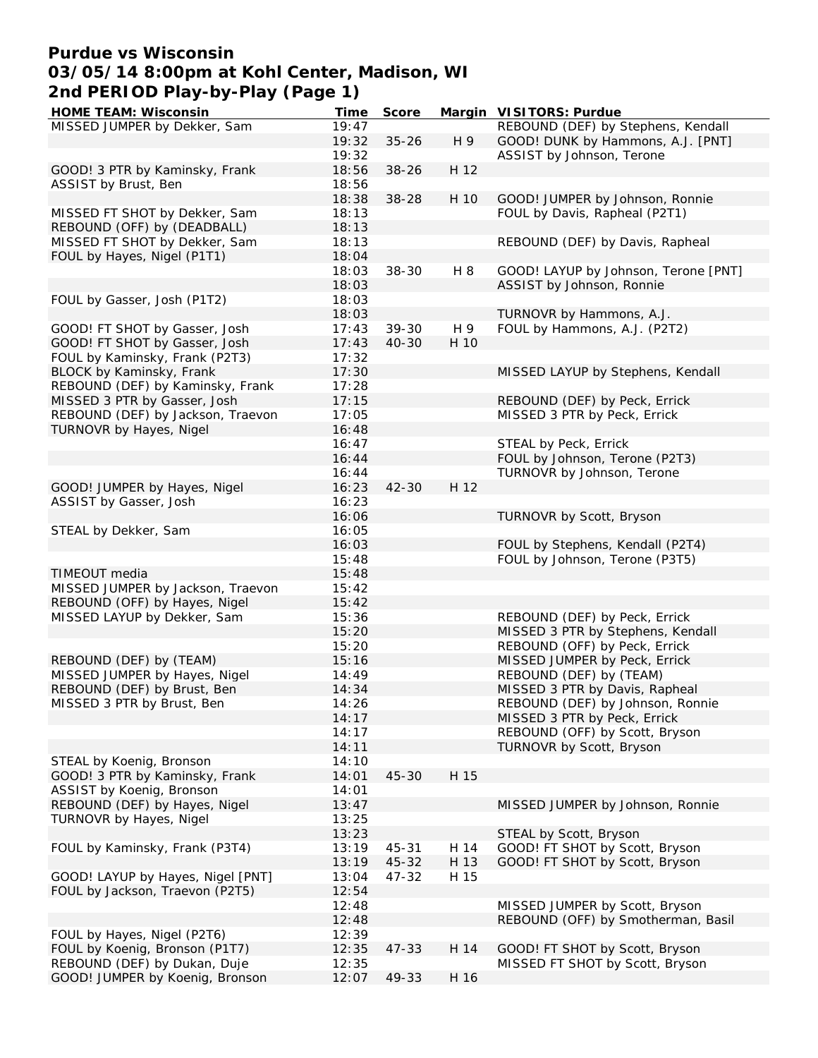## **Purdue vs Wisconsin 03/05/14 8:00pm at Kohl Center, Madison, WI 2nd PERIOD Play-by-Play (Page 1)**

| <b>HOME TEAM: Wisconsin</b>       | Time  | <b>Score</b> |      | Margin VISITORS: Purdue              |
|-----------------------------------|-------|--------------|------|--------------------------------------|
| MISSED JUMPER by Dekker, Sam      | 19:47 |              |      | REBOUND (DEF) by Stephens, Kendall   |
|                                   | 19:32 | $35 - 26$    | H 9  | GOOD! DUNK by Hammons, A.J. [PNT]    |
|                                   | 19:32 |              |      | ASSIST by Johnson, Terone            |
| GOOD! 3 PTR by Kaminsky, Frank    | 18:56 | $38 - 26$    | H 12 |                                      |
| ASSIST by Brust, Ben              | 18:56 |              |      |                                      |
|                                   |       |              |      |                                      |
|                                   | 18:38 | $38 - 28$    | H 10 | GOOD! JUMPER by Johnson, Ronnie      |
| MISSED FT SHOT by Dekker, Sam     | 18:13 |              |      | FOUL by Davis, Rapheal (P2T1)        |
| REBOUND (OFF) by (DEADBALL)       | 18:13 |              |      |                                      |
| MISSED FT SHOT by Dekker, Sam     | 18:13 |              |      | REBOUND (DEF) by Davis, Rapheal      |
| FOUL by Hayes, Nigel (P1T1)       | 18:04 |              |      |                                      |
|                                   | 18:03 | $38 - 30$    | H 8  | GOOD! LAYUP by Johnson, Terone [PNT] |
|                                   | 18:03 |              |      | ASSIST by Johnson, Ronnie            |
| FOUL by Gasser, Josh (P1T2)       | 18:03 |              |      |                                      |
|                                   |       |              |      |                                      |
|                                   | 18:03 |              |      | TURNOVR by Hammons, A.J.             |
| GOOD! FT SHOT by Gasser, Josh     | 17:43 | $39 - 30$    | H 9  | FOUL by Hammons, A.J. (P2T2)         |
| GOOD! FT SHOT by Gasser, Josh     | 17:43 | 40-30        | H 10 |                                      |
| FOUL by Kaminsky, Frank (P2T3)    | 17:32 |              |      |                                      |
| BLOCK by Kaminsky, Frank          | 17:30 |              |      | MISSED LAYUP by Stephens, Kendall    |
| REBOUND (DEF) by Kaminsky, Frank  | 17:28 |              |      |                                      |
| MISSED 3 PTR by Gasser, Josh      | 17:15 |              |      | REBOUND (DEF) by Peck, Errick        |
| REBOUND (DEF) by Jackson, Traevon | 17:05 |              |      | MISSED 3 PTR by Peck, Errick         |
| TURNOVR by Hayes, Nigel           | 16:48 |              |      |                                      |
|                                   |       |              |      |                                      |
|                                   | 16:47 |              |      | STEAL by Peck, Errick                |
|                                   | 16:44 |              |      | FOUL by Johnson, Terone (P2T3)       |
|                                   | 16:44 |              |      | TURNOVR by Johnson, Terone           |
| GOOD! JUMPER by Hayes, Nigel      | 16:23 | $42 - 30$    | H 12 |                                      |
| ASSIST by Gasser, Josh            | 16:23 |              |      |                                      |
|                                   | 16:06 |              |      | TURNOVR by Scott, Bryson             |
| STEAL by Dekker, Sam              | 16:05 |              |      |                                      |
|                                   | 16:03 |              |      | FOUL by Stephens, Kendall (P2T4)     |
|                                   | 15:48 |              |      | FOUL by Johnson, Terone (P3T5)       |
| TIMEOUT media                     | 15:48 |              |      |                                      |
| MISSED JUMPER by Jackson, Traevon | 15:42 |              |      |                                      |
|                                   |       |              |      |                                      |
| REBOUND (OFF) by Hayes, Nigel     | 15:42 |              |      |                                      |
| MISSED LAYUP by Dekker, Sam       | 15:36 |              |      | REBOUND (DEF) by Peck, Errick        |
|                                   | 15:20 |              |      | MISSED 3 PTR by Stephens, Kendall    |
|                                   | 15:20 |              |      | REBOUND (OFF) by Peck, Errick        |
| REBOUND (DEF) by (TEAM)           | 15:16 |              |      | MISSED JUMPER by Peck, Errick        |
| MISSED JUMPER by Hayes, Nigel     | 14:49 |              |      | REBOUND (DEF) by (TEAM)              |
| REBOUND (DEF) by Brust, Ben       | 14:34 |              |      | MISSED 3 PTR by Davis, Rapheal       |
| MISSED 3 PTR by Brust, Ben        | 14:26 |              |      | REBOUND (DEF) by Johnson, Ronnie     |
|                                   | 14:17 |              |      | MISSED 3 PTR by Peck, Errick         |
|                                   | 14:17 |              |      | REBOUND (OFF) by Scott, Bryson       |
|                                   | 14:11 |              |      |                                      |
|                                   |       |              |      | TURNOVR by Scott, Bryson             |
| STEAL by Koenig, Bronson          | 14:10 |              |      |                                      |
| GOOD! 3 PTR by Kaminsky, Frank    | 14:01 | 45-30        | H 15 |                                      |
| ASSIST by Koenig, Bronson         | 14:01 |              |      |                                      |
| REBOUND (DEF) by Hayes, Nigel     | 13:47 |              |      | MISSED JUMPER by Johnson, Ronnie     |
| TURNOVR by Hayes, Nigel           | 13:25 |              |      |                                      |
|                                   | 13:23 |              |      | STEAL by Scott, Bryson               |
| FOUL by Kaminsky, Frank (P3T4)    | 13:19 | 45-31        | H 14 | GOOD! FT SHOT by Scott, Bryson       |
|                                   | 13:19 | 45-32        | H 13 | GOOD! FT SHOT by Scott, Bryson       |
| GOOD! LAYUP by Hayes, Nigel [PNT] | 13:04 | 47-32        | H 15 |                                      |
| FOUL by Jackson, Traevon (P2T5)   | 12:54 |              |      |                                      |
|                                   | 12:48 |              |      |                                      |
|                                   |       |              |      | MISSED JUMPER by Scott, Bryson       |
|                                   | 12:48 |              |      | REBOUND (OFF) by Smotherman, Basil   |
| FOUL by Hayes, Nigel (P2T6)       | 12:39 |              |      |                                      |
| FOUL by Koenig, Bronson (P1T7)    | 12:35 | 47-33        | H 14 | GOOD! FT SHOT by Scott, Bryson       |
| REBOUND (DEF) by Dukan, Duje      | 12:35 |              |      | MISSED FT SHOT by Scott, Bryson      |
| GOOD! JUMPER by Koenig, Bronson   | 12:07 | 49-33        | H 16 |                                      |
|                                   |       |              |      |                                      |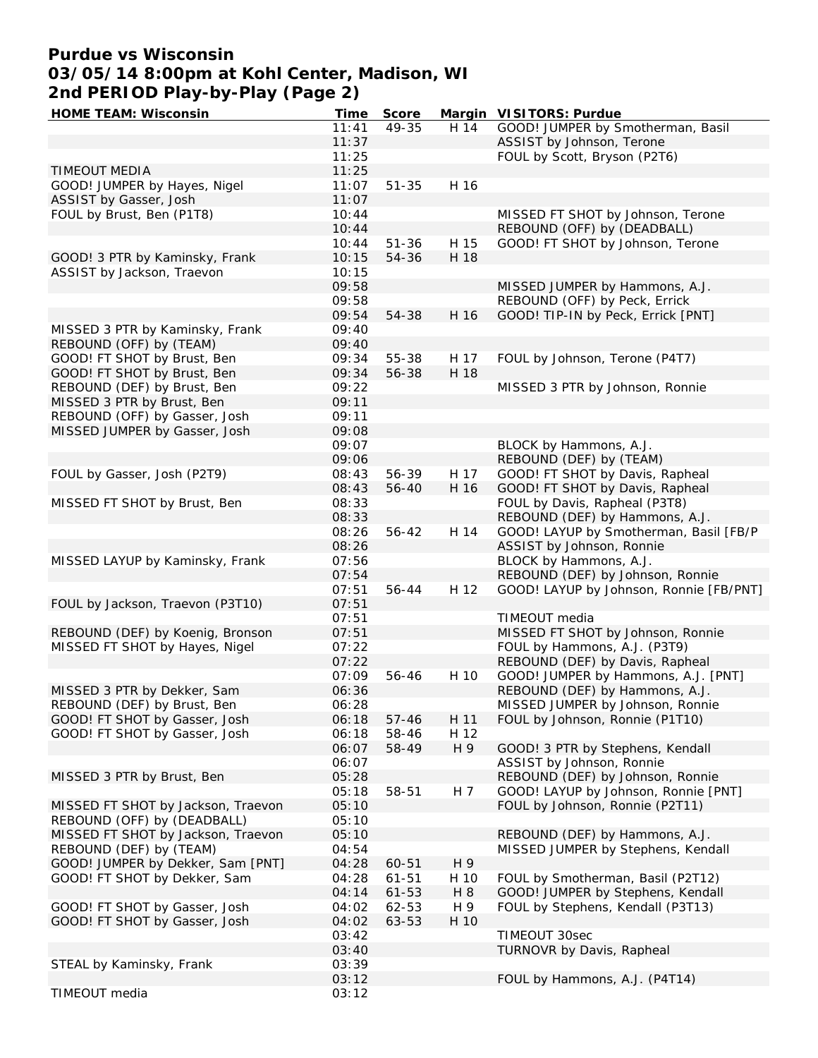# **Purdue vs Wisconsin 03/05/14 8:00pm at Kohl Center, Madison, WI 2nd PERIOD Play-by-Play (Page 2)**

| <b>HOME TEAM: Wisconsin</b>        | Time  | <b>Score</b> |      | Margin VISITORS: Purdue                 |
|------------------------------------|-------|--------------|------|-----------------------------------------|
|                                    | 11:41 | 49-35        | H 14 | GOOD! JUMPER by Smotherman, Basil       |
|                                    | 11:37 |              |      | ASSIST by Johnson, Terone               |
|                                    | 11:25 |              |      | FOUL by Scott, Bryson (P2T6)            |
| <b>TIMEOUT MEDIA</b>               | 11:25 |              |      |                                         |
|                                    |       |              |      |                                         |
| GOOD! JUMPER by Hayes, Nigel       | 11:07 | $51 - 35$    | H 16 |                                         |
| ASSIST by Gasser, Josh             | 11:07 |              |      |                                         |
| FOUL by Brust, Ben (P1T8)          | 10:44 |              |      | MISSED FT SHOT by Johnson, Terone       |
|                                    | 10:44 |              |      | REBOUND (OFF) by (DEADBALL)             |
|                                    | 10:44 | $51 - 36$    | H 15 | GOOD! FT SHOT by Johnson, Terone        |
| GOOD! 3 PTR by Kaminsky, Frank     | 10:15 | 54-36        | H 18 |                                         |
| ASSIST by Jackson, Traevon         | 10:15 |              |      |                                         |
|                                    |       |              |      |                                         |
|                                    | 09:58 |              |      | MISSED JUMPER by Hammons, A.J.          |
|                                    | 09:58 |              |      | REBOUND (OFF) by Peck, Errick           |
|                                    | 09:54 | 54-38        | H 16 | GOOD! TIP-IN by Peck, Errick [PNT]      |
| MISSED 3 PTR by Kaminsky, Frank    | 09:40 |              |      |                                         |
| REBOUND (OFF) by (TEAM)            | 09:40 |              |      |                                         |
| GOOD! FT SHOT by Brust, Ben        | 09:34 | 55-38        | H 17 | FOUL by Johnson, Terone (P4T7)          |
| GOOD! FT SHOT by Brust, Ben        | 09:34 | 56-38        | H 18 |                                         |
| REBOUND (DEF) by Brust, Ben        | 09:22 |              |      | MISSED 3 PTR by Johnson, Ronnie         |
|                                    |       |              |      |                                         |
| MISSED 3 PTR by Brust, Ben         | 09:11 |              |      |                                         |
| REBOUND (OFF) by Gasser, Josh      | 09:11 |              |      |                                         |
| MISSED JUMPER by Gasser, Josh      | 09:08 |              |      |                                         |
|                                    | 09:07 |              |      | BLOCK by Hammons, A.J.                  |
|                                    | 09:06 |              |      | REBOUND (DEF) by (TEAM)                 |
| FOUL by Gasser, Josh (P2T9)        | 08:43 | 56-39        | H 17 | GOOD! FT SHOT by Davis, Rapheal         |
|                                    | 08:43 | 56-40        | H 16 | GOOD! FT SHOT by Davis, Rapheal         |
| MISSED FT SHOT by Brust, Ben       | 08:33 |              |      | FOUL by Davis, Rapheal (P3T8)           |
|                                    |       |              |      |                                         |
|                                    | 08:33 |              |      | REBOUND (DEF) by Hammons, A.J.          |
|                                    | 08:26 | 56-42        | H 14 | GOOD! LAYUP by Smotherman, Basil [FB/P  |
|                                    | 08:26 |              |      | ASSIST by Johnson, Ronnie               |
| MISSED LAYUP by Kaminsky, Frank    | 07:56 |              |      | BLOCK by Hammons, A.J.                  |
|                                    | 07:54 |              |      | REBOUND (DEF) by Johnson, Ronnie        |
|                                    | 07:51 | 56-44        | H 12 | GOOD! LAYUP by Johnson, Ronnie [FB/PNT] |
| FOUL by Jackson, Traevon (P3T10)   | 07:51 |              |      |                                         |
|                                    | 07:51 |              |      | TIMEOUT media                           |
|                                    |       |              |      | MISSED FT SHOT by Johnson, Ronnie       |
| REBOUND (DEF) by Koenig, Bronson   | 07:51 |              |      |                                         |
| MISSED FT SHOT by Hayes, Nigel     | 07:22 |              |      | FOUL by Hammons, A.J. (P3T9)            |
|                                    | 07:22 |              |      | REBOUND (DEF) by Davis, Rapheal         |
|                                    | 07:09 | 56-46        | H 10 | GOOD! JUMPER by Hammons, A.J. [PNT]     |
| MISSED 3 PTR by Dekker, Sam        | 06:36 |              |      | REBOUND (DEF) by Hammons, A.J.          |
| REBOUND (DEF) by Brust, Ben        | 06:28 |              |      | MISSED JUMPER by Johnson, Ronnie        |
| GOOD! FT SHOT by Gasser, Josh      | 06:18 | $57 - 46$    | H 11 | FOUL by Johnson, Ronnie (P1T10)         |
| GOOD! FT SHOT by Gasser, Josh      | 06:18 | 58-46        | H 12 |                                         |
|                                    | 06:07 | 58-49        | H 9  | GOOD! 3 PTR by Stephens, Kendall        |
|                                    |       |              |      |                                         |
|                                    | 06:07 |              |      | ASSIST by Johnson, Ronnie               |
| MISSED 3 PTR by Brust, Ben         | 05:28 |              |      | REBOUND (DEF) by Johnson, Ronnie        |
|                                    | 05:18 | 58-51        | H 7  | GOOD! LAYUP by Johnson, Ronnie [PNT]    |
| MISSED FT SHOT by Jackson, Traevon | 05:10 |              |      | FOUL by Johnson, Ronnie (P2T11)         |
| REBOUND (OFF) by (DEADBALL)        | 05:10 |              |      |                                         |
| MISSED FT SHOT by Jackson, Traevon | 05:10 |              |      | REBOUND (DEF) by Hammons, A.J.          |
| REBOUND (DEF) by (TEAM)            | 04:54 |              |      | MISSED JUMPER by Stephens, Kendall      |
| GOOD! JUMPER by Dekker, Sam [PNT]  | 04:28 | 60-51        | H 9  |                                         |
|                                    |       |              |      |                                         |
| GOOD! FT SHOT by Dekker, Sam       | 04:28 | $61 - 51$    | H 10 | FOUL by Smotherman, Basil (P2T12)       |
|                                    | 04:14 | $61 - 53$    | H 8  | GOOD! JUMPER by Stephens, Kendall       |
| GOOD! FT SHOT by Gasser, Josh      | 04:02 | 62-53        | H 9  | FOUL by Stephens, Kendall (P3T13)       |
| GOOD! FT SHOT by Gasser, Josh      | 04:02 | 63-53        | H 10 |                                         |
|                                    | 03:42 |              |      | TIMEOUT 30sec                           |
|                                    | 03:40 |              |      | TURNOVR by Davis, Rapheal               |
| STEAL by Kaminsky, Frank           | 03:39 |              |      |                                         |
|                                    | 03:12 |              |      | FOUL by Hammons, A.J. (P4T14)           |
|                                    |       |              |      |                                         |
| TIMEOUT media                      | 03:12 |              |      |                                         |
|                                    |       |              |      |                                         |